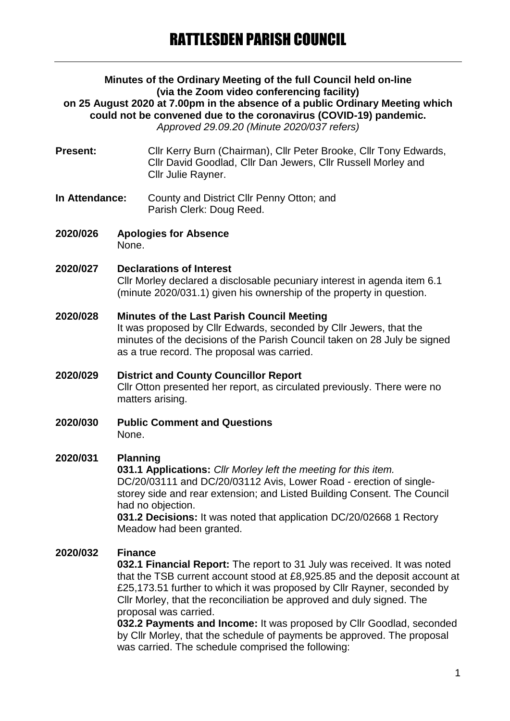#### **Minutes of the Ordinary Meeting of the full Council held on-line (via the Zoom video conferencing facility) on 25 August 2020 at 7.00pm in the absence of a public Ordinary Meeting which could not be convened due to the coronavirus (COVID-19) pandemic.** *Approved 29.09.20 (Minute 2020/037 refers)*

- **Present:** Cllr Kerry Burn (Chairman), Cllr Peter Brooke, Cllr Tony Edwards, Cllr David Goodlad, Cllr Dan Jewers, Cllr Russell Morley and Cllr Julie Rayner.
- **In Attendance:** County and District Cllr Penny Otton; and Parish Clerk: Doug Reed.
- **2020/026 Apologies for Absence** None.
- **2020/027 Declarations of Interest** Cllr Morley declared a disclosable pecuniary interest in agenda item 6.1 (minute 2020/031.1) given his ownership of the property in question.
- **2020/028 Minutes of the Last Parish Council Meeting** It was proposed by Cllr Edwards, seconded by Cllr Jewers, that the minutes of the decisions of the Parish Council taken on 28 July be signed as a true record. The proposal was carried.
- **2020/029 District and County Councillor Report** Cllr Otton presented her report, as circulated previously. There were no matters arising.
- **2020/030 Public Comment and Questions** None.

### **2020/031 Planning**

**031.1 Applications:** *Cllr Morley left the meeting for this item.* DC/20/03111 and DC/20/03112 Avis, Lower Road - erection of singlestorey side and rear extension; and Listed Building Consent. The Council had no objection.

**031.2 Decisions:** It was noted that application DC/20/02668 1 Rectory Meadow had been granted.

## **2020/032 Finance**

**032.1 Financial Report:** The report to 31 July was received. It was noted that the TSB current account stood at £8,925.85 and the deposit account at £25,173.51 further to which it was proposed by Cllr Rayner, seconded by Cllr Morley, that the reconciliation be approved and duly signed. The proposal was carried.

**032.2 Payments and Income:** It was proposed by Cllr Goodlad, seconded by Cllr Morley, that the schedule of payments be approved. The proposal was carried. The schedule comprised the following: